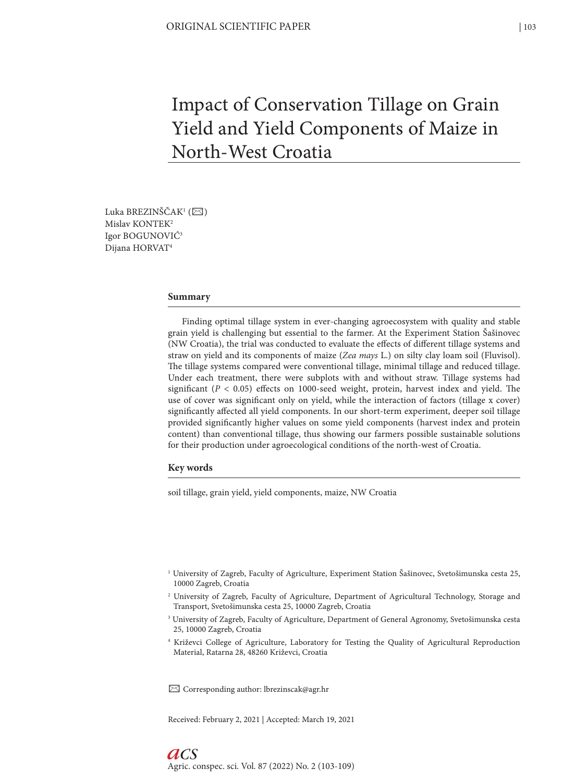# Impact of Conservation Tillage on Grain Yield and Yield Components of Maize in North-West Croatia

Luka BREZINŠČAK<sup>1</sup> ( $\boxtimes$ ) Mislav KONTEK2 Igor BOGUNOVIĆ3 Dijana HORVAT4

#### **Summary**

Finding optimal tillage system in ever-changing agroecosystem with quality and stable grain yield is challenging but essential to the farmer. At the Experiment Station Šašinovec (NW Croatia), the trial was conducted to evaluate the effects of different tillage systems and straw on yield and its components of maize (*Zea mays* L.) on silty clay loam soil (Fluvisol). The tillage systems compared were conventional tillage, minimal tillage and reduced tillage. Under each treatment, there were subplots with and without straw. Tillage systems had significant ( $P < 0.05$ ) effects on 1000-seed weight, protein, harvest index and yield. The use of cover was significant only on yield, while the interaction of factors (tillage x cover) significantly affected all yield components. In our short-term experiment, deeper soil tillage provided significantly higher values on some yield components (harvest index and protein content) than conventional tillage, thus showing our farmers possible sustainable solutions for their production under agroecological conditions of the north-west of Croatia.

#### **Key words**

soil tillage, grain yield, yield components, maize, NW Croatia

- 1 University of Zagreb, Faculty of Agriculture, Experiment Station Šašinovec, Svetošimunska cesta 25, 10000 Zagreb, Croatia
- 2 University of Zagreb, Faculty of Agriculture, Department of Agricultural Technology, Storage and Transport, Svetošimunska cesta 25, 10000 Zagreb, Croatia
- 3 University of Zagreb, Faculty of Agriculture, Department of General Agronomy, Svetošimunska cesta 25, 10000 Zagreb, Croatia
- 4 Križevci College of Agriculture, Laboratory for Testing the Quality of Agricultural Reproduction Material, Ratarna 28, 48260 Križevci, Croatia

✉ Corresponding author: lbrezinscak@agr.hr

Received: February 2, 2021 | Accepted: March 19, 2021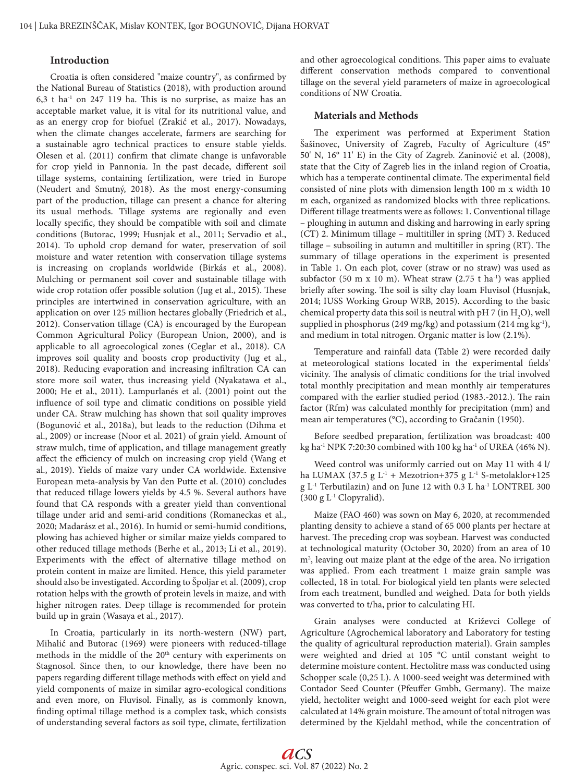### **Introduction**

Croatia is often considered "maize country", as confirmed by the National Bureau of Statistics (2018), with production around  $6,3$  t ha<sup>-1</sup> on 247 119 ha. This is no surprise, as maize has an acceptable market value, it is vital for its nutritional value, and as an energy crop for biofuel (Zrakić et al., 2017). Nowadays, when the climate changes accelerate, farmers are searching for a sustainable agro technical practices to ensure stable yields. Olesen et al. (2011) confirm that climate change is unfavorable for crop yield in Pannonia. In the past decade, different soil tillage systems, containing fertilization, were tried in Europe (Neudert and Smutný, 2018). As the most energy-consuming part of the production, tillage can present a chance for altering its usual methods. Tillage systems are regionally and even locally specific, they should be compatible with soil and climate conditions (Butorac, 1999; Husnjak et al., 2011; Servadio et al., 2014). To uphold crop demand for water, preservation of soil moisture and water retention with conservation tillage systems is increasing on croplands worldwide (Birkás et al., 2008). Mulching or permanent soil cover and sustainable tillage with wide crop rotation offer possible solution (Jug et al., 2015). These principles are intertwined in conservation agriculture, with an application on over 125 million hectares globally (Friedrich et al., 2012). Conservation tillage (CA) is encouraged by the European Common Agricultural Policy (European Union, 2000), and is applicable to all agroecological zones (Ceglar et al., 2018). CA improves soil quality and boosts crop productivity (Jug et al., 2018). Reducing evaporation and increasing infiltration CA can store more soil water, thus increasing yield (Nyakatawa et al., 2000; He et al., 2011). Lampurlanés et al. (2001) point out the influence of soil type and climatic conditions on possible yield under CA. Straw mulching has shown that soil quality improves (Bogunović et al., 2018a), but leads to the reduction (Dihma et al., 2009) or increase (Noor et al. 2021) of grain yield. Amount of straw mulch, time of application, and tillage management greatly affect the efficiency of mulch on increasing crop yield (Wang et al., 2019). Yields of maize vary under CA worldwide. Extensive European meta-analysis by Van den Putte et al. (2010) concludes that reduced tillage lowers yields by 4.5 %. Several authors have found that CA responds with a greater yield than conventional tillage under arid and semi-arid conditions (Romaneckas et al., 2020; Madarász et al., 2016). In humid or semi-humid conditions, plowing has achieved higher or similar maize yields compared to other reduced tillage methods (Berhe et al., 2013; Li et al., 2019). Experiments with the effect of alternative tillage method on protein content in maize are limited. Hence, this yield parameter should also be investigated. According to Špoljar et al. (2009), crop rotation helps with the growth of protein levels in maize, and with higher nitrogen rates. Deep tillage is recommended for protein build up in grain (Wasaya et al., 2017).

In Croatia, particularly in its north-western (NW) part, Mihalić and Butorac (1969) were pioneers with reduced-tillage methods in the middle of the 20<sup>th</sup> century with experiments on Stagnosol. Since then, to our knowledge, there have been no papers regarding different tillage methods with effect on yield and yield components of maize in similar agro-ecological conditions and even more, on Fluvisol. Finally, as is commonly known, finding optimal tillage method is a complex task, which consists of understanding several factors as soil type, climate, fertilization and other agroecological conditions. This paper aims to evaluate different conservation methods compared to conventional tillage on the several yield parameters of maize in agroecological conditions of NW Croatia.

### **Materials and Methods**

The experiment was performed at Experiment Station Šašinovec, University of Zagreb, Faculty of Agriculture (45° 50' N, 16° 11' E) in the City of Zagreb. Zaninović et al. (2008), state that the City of Zagreb lies in the inland region of Croatia, which has a temperate continental climate. The experimental field consisted of nine plots with dimension length 100 m x width 10 m each, organized as randomized blocks with three replications. Different tillage treatments were as follows: 1. Conventional tillage – ploughing in autumn and disking and harrowing in early spring (CT) 2. Minimum tillage – multitiller in spring (MT) 3. Reduced tillage – subsoiling in autumn and multitiller in spring (RT). The summary of tillage operations in the experiment is presented in Table 1. On each plot, cover (straw or no straw) was used as subfactor (50 m x 10 m). Wheat straw (2.75 t ha<sup>-1</sup>) was applied briefly after sowing. The soil is silty clay loam Fluvisol (Husnjak, 2014; IUSS Working Group WRB, 2015). According to the basic chemical property data this soil is neutral with pH 7 (in  $\text{H}_{2}\text{O}$ ), well supplied in phosphorus (249 mg/kg) and potassium (214 mg kg<sup>-1</sup>), and medium in total nitrogen. Organic matter is low (2.1%).

Temperature and rainfall data (Table 2) were recorded daily at meteorological stations located in the experimental fields' vicinity. The analysis of climatic conditions for the trial involved total monthly precipitation and mean monthly air temperatures compared with the earlier studied period (1983.-2012.). The rain factor (Rfm) was calculated monthly for precipitation (mm) and mean air temperatures (°C), according to Gračanin (1950).

Before seedbed preparation, fertilization was broadcast: 400 kg ha<sup>-1</sup> NPK 7:20:30 combined with 100 kg ha<sup>-1</sup> of UREA (46% N).

Weed control was uniformly carried out on May 11 with 4 l/ ha LUMAX (37.5 g  $L^1$  + Mezotrion+375 g  $L^1$  S-metolaklor+125 g L-1 Terbutilazin) and on June 12 with 0.3 L ha-1 LONTREL 300 (300 g L-1 Clopyralid).

Maize (FAO 460) was sown on May 6, 2020, at recommended planting density to achieve a stand of 65 000 plants per hectare at harvest. The preceding crop was soybean. Harvest was conducted at technological maturity (October 30, 2020) from an area of 10 m2 , leaving out maize plant at the edge of the area. No irrigation was applied. From each treatment 1 maize grain sample was collected, 18 in total. For biological yield ten plants were selected from each treatment, bundled and weighed. Data for both yields was converted to t/ha, prior to calculating HI.

Grain analyses were conducted at Križevci College of Agriculture (Agrochemical laboratory and Laboratory for testing the quality of agricultural reproduction material). Grain samples were weighted and dried at 105 °C until constant weight to determine moisture content. Hectolitre mass was conducted using Schopper scale (0,25 L). A 1000-seed weight was determined with Contador Seed Counter (Pfeuffer Gmbh, Germany). The maize yield, hectoliter weight and 1000-seed weight for each plot were calculated at 14% grain moisture. The amount of total nitrogen was determined by the Kjeldahl method, while the concentration of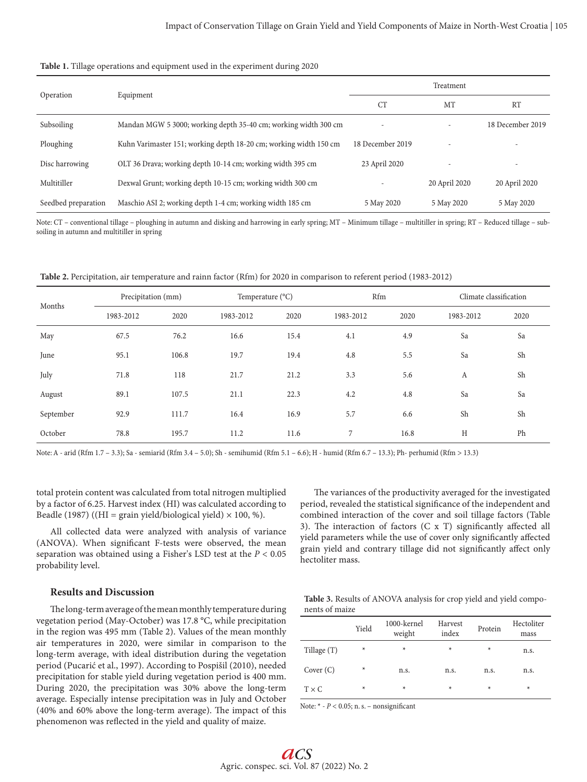|  |  |  | Table 1. Tillage operations and equipment used in the experiment during 2020 |  |  |  |
|--|--|--|------------------------------------------------------------------------------|--|--|--|
|--|--|--|------------------------------------------------------------------------------|--|--|--|

|                     |                                                                   | Treatment        |               |                  |  |  |
|---------------------|-------------------------------------------------------------------|------------------|---------------|------------------|--|--|
| Operation           | Equipment                                                         | <b>CT</b>        | MT            | <b>RT</b>        |  |  |
| Subsoiling          | Mandan MGW 5 3000; working depth 35-40 cm; working width 300 cm   |                  |               | 18 December 2019 |  |  |
| Ploughing           | Kuhn Varimaster 151; working depth 18-20 cm; working width 150 cm | 18 December 2019 |               |                  |  |  |
| Disc harrowing      | OLT 36 Drava; working depth 10-14 cm; working width 395 cm        | 23 April 2020    |               |                  |  |  |
| Multitiller         | Dexwal Grunt; working depth 10-15 cm; working width 300 cm        |                  | 20 April 2020 | 20 April 2020    |  |  |
| Seedbed preparation | Maschio ASI 2; working depth 1-4 cm; working width 185 cm         | 5 May 2020       | 5 May 2020    | 5 May 2020       |  |  |

Note: CT – conventional tillage – ploughing in autumn and disking and harrowing in early spring; MT – Minimum tillage – multitiller in spring; RT – Reduced tillage – subsoiling in autumn and multitiller in spring

**Table 2.** Percipitation, air temperature and rainn factor (Rfm) for 2020 in comparison to referent period (1983-2012)

| Months    | Precipitation (mm) |       |           | Temperature (°C) |           | Rfm  |           | Climate classification |  |
|-----------|--------------------|-------|-----------|------------------|-----------|------|-----------|------------------------|--|
|           | 1983-2012          | 2020  | 1983-2012 | 2020             | 1983-2012 | 2020 | 1983-2012 | 2020                   |  |
| May       | 67.5               | 76.2  | 16.6      | 15.4             | 4.1       | 4.9  | Sa        | Sa                     |  |
| June      | 95.1               | 106.8 | 19.7      | 19.4             | 4.8       | 5.5  | Sa        | Sh                     |  |
| July      | 71.8               | 118   | 21.7      | 21.2             | 3.3       | 5.6  | A         | Sh                     |  |
| August    | 89.1               | 107.5 | 21.1      | 22.3             | 4.2       | 4.8  | Sa        | Sa                     |  |
| September | 92.9               | 111.7 | 16.4      | 16.9             | 5.7       | 6.6  | Sh        | Sh                     |  |
| October   | 78.8               | 195.7 | 11.2      | 11.6             | 7         | 16.8 | H         | Ph                     |  |

Note: A - arid (Rfm 1.7 – 3.3); Sa - semiarid (Rfm 3.4 – 5.0); Sh - semihumid (Rfm 5.1 – 6.6); H - humid (Rfm 6.7 – 13.3); Ph- perhumid (Rfm > 13.3)

total protein content was calculated from total nitrogen multiplied by a factor of 6.25. Harvest index (HI) was calculated according to Beadle (1987) ((HI = grain yield/biological yield)  $\times$  100, %).

All collected data were analyzed with analysis of variance (ANOVA). When significant F-tests were observed, the mean separation was obtained using a Fisher's LSD test at the *P* < 0.05 probability level.

**Results and Discussion**

The long-term average of the mean monthly temperature during vegetation period (May-October) was 17.8 °C, while precipitation in the region was 495 mm (Table 2). Values of the mean monthly air temperatures in 2020, were similar in comparison to the long-term average, with ideal distribution during the vegetation period (Pucarić et al., 1997). According to Pospišil (2010), needed precipitation for stable yield during vegetation period is 400 mm. During 2020, the precipitation was 30% above the long-term average. Especially intense precipitation was in July and October (40% and 60% above the long-term average). The impact of this phenomenon was reflected in the yield and quality of maize.

combined interaction of the cover and soil tillage factors (Table 3). The interaction of factors (C x T) significantly affected all yield parameters while the use of cover only significantly affected grain yield and contrary tillage did not significantly affect only hectoliter mass.

The variances of the productivity averaged for the investigated period, revealed the statistical significance of the independent and

|                | Table 3. Results of ANOVA analysis for crop yield and yield compo- |  |  |
|----------------|--------------------------------------------------------------------|--|--|
| nents of maize |                                                                    |  |  |

|              | Yield  | 1000-kernel<br>weight | Harvest<br>index | Protein | Hectoliter<br>mass |
|--------------|--------|-----------------------|------------------|---------|--------------------|
| Tillage (T)  | $\ast$ | ∗                     | ∗                | $\ast$  | n.s.               |
| Cover $(C)$  | $\ast$ | n.s.                  | n.s.             | n.s.    | n.s.               |
| $T \times C$ | $\ast$ | $\ast$                | $\ast$           | ∗       | ∗                  |

Note:  $*$  -  $P$  < 0.05; n. s. – nonsignificant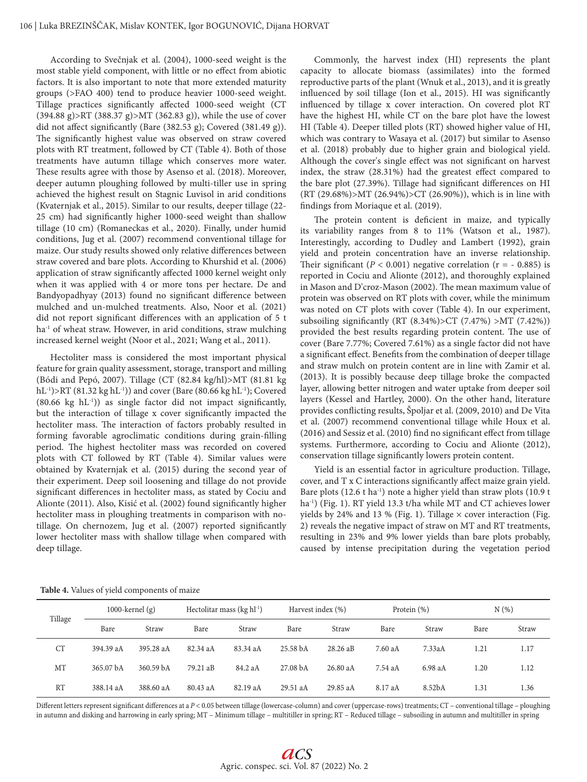According to Svečnjak et al. (2004), 1000-seed weight is the most stable yield component, with little or no effect from abiotic factors. It is also important to note that more extended maturity groups (>FAO 400) tend to produce heavier 1000-seed weight. Tillage practices significantly affected 1000-seed weight (CT (394.88 g)>RT (388.37 g)>MT (362.83 g)), while the use of cover did not affect significantly (Bare (382.53 g); Covered (381.49 g)). The significantly highest value was observed on straw covered plots with RT treatment, followed by CT (Table 4). Both of those treatments have autumn tillage which conserves more water. These results agree with those by Asenso et al. (2018). Moreover, deeper autumn ploughing followed by multi-tiller use in spring achieved the highest result on Stagnic Luvisol in arid conditions (Kvaternjak et al., 2015). Similar to our results, deeper tillage (22- 25 cm) had significantly higher 1000-seed weight than shallow tillage (10 cm) (Romaneckas et al., 2020). Finally, under humid conditions, Jug et al. (2007) recommend conventional tillage for maize. Our study results showed only relative differences between straw covered and bare plots. According to Khurshid et al. (2006) application of straw significantly affected 1000 kernel weight only when it was applied with 4 or more tons per hectare. De and Bandyopadhyay (2013) found no significant difference between mulched and un-mulched treatments. Also, Noor et al. (2021) did not report significant differences with an application of 5 t ha<sup>-1</sup> of wheat straw. However, in arid conditions, straw mulching increased kernel weight (Noor et al., 2021; Wang et al., 2011).

Hectoliter mass is considered the most important physical feature for grain quality assessment, storage, transport and milling (Bódi and Pepó, 2007). Tillage (CT (82.84 kg/hl)>MT (81.81 kg  $hL^{-1}$ )>RT (81.32 kg  $hL^{-1}$ )) and cover (Bare (80.66 kg  $hL^{-1}$ ); Covered  $(80.66 \text{ kg } hL^{-1})$ ) as single factor did not impact significantly, but the interaction of tillage x cover significantly impacted the hectoliter mass. The interaction of factors probably resulted in forming favorable agroclimatic conditions during grain-filling period. The highest hectoliter mass was recorded on covered plots with CT followed by RT (Table 4). Similar values were obtained by Kvaternjak et al. (2015) during the second year of their experiment. Deep soil loosening and tillage do not provide significant differences in hectoliter mass, as stated by Cociu and Alionte (2011). Also, Kisić et al. (2002) found significantly higher hectoliter mass in ploughing treatments in comparison with notillage. On chernozem, Jug et al. (2007) reported significantly lower hectoliter mass with shallow tillage when compared with deep tillage.

Commonly, the harvest index (HI) represents the plant capacity to allocate biomass (assimilates) into the formed reproductive parts of the plant (Wnuk et al., 2013), and it is greatly influenced by soil tillage (Ion et al., 2015). HI was significantly influenced by tillage x cover interaction. On covered plot RT have the highest HI, while CT on the bare plot have the lowest HI (Table 4). Deeper tilled plots (RT) showed higher value of HI, which was contrary to Wasaya et al. (2017) but similar to Asenso et al. (2018) probably due to higher grain and biological yield. Although the cover's single effect was not significant on harvest index, the straw (28.31%) had the greatest effect compared to the bare plot (27.39%). Tillage had significant differences on HI (RT (29.68%)>MT (26.94%)>CT (26.90%)), which is in line with findings from Moriaque et al. (2019).

The protein content is deficient in maize, and typically its variability ranges from 8 to 11% (Watson et al., 1987). Interestingly, according to Dudley and Lambert (1992), grain yield and protein concentration have an inverse relationship. Their significant ( $P < 0.001$ ) negative correlation ( $r = -0.885$ ) is reported in Cociu and Alionte (2012), and thoroughly explained in Mason and D'croz-Mason (2002). The mean maximum value of protein was observed on RT plots with cover, while the minimum was noted on CT plots with cover (Table 4). In our experiment, subsoiling significantly (RT  $(8.34%) > CT (7.47%) > MT (7.42%)$ ) provided the best results regarding protein content. The use of cover (Bare 7.77%; Covered 7.61%) as a single factor did not have a significant effect. Benefits from the combination of deeper tillage and straw mulch on protein content are in line with Zamir et al. (2013). It is possibly because deep tillage broke the compacted layer, allowing better nitrogen and water uptake from deeper soil layers (Kessel and Hartley, 2000). On the other hand, literature provides conflicting results, Špoljar et al. (2009, 2010) and De Vita et al. (2007) recommend conventional tillage while Houx et al. (2016) and Sessiz et al. (2010) find no significant effect from tillage systems. Furthermore, according to Cociu and Alionte (2012), conservation tillage significantly lowers protein content.

Yield is an essential factor in agriculture production. Tillage, cover, and T x C interactions significantly affect maize grain yield. Bare plots  $(12.6 \text{ tha}^{-1})$  note a higher yield than straw plots  $(10.9 \text{ t}$ ha-1) (Fig. 1). RT yield 13.3 t/ha while MT and CT achieves lower yields by 24% and 13 % (Fig. 1). Tillage  $\times$  cover interaction (Fig. 2) reveals the negative impact of straw on MT and RT treatments, resulting in 23% and 9% lower yields than bare plots probably, caused by intense precipitation during the vegetation period

**Table 4.** Values of yield components of maize

| Tillage   | $1000$ -kernel (g) |                      | Hectolitar mass $(kg h l^{-1})$ |          | Harvest index (%) |          | Protein (%) |         | N(%) |       |
|-----------|--------------------|----------------------|---------------------------------|----------|-------------------|----------|-------------|---------|------|-------|
|           | Bare               | Straw                | Bare                            | Straw    | Bare              | Straw    | Bare        | Straw   | Bare | Straw |
| <b>CT</b> | 394.39 aA          | 395.28 aA            | 82.34 aA                        | 83.34 aA | 25.58 bA          | 28.26 aB | 7.60 aA     | 7.33aA  | 1.21 | 1.17  |
| MT        | 365.07 bA          | 360.59 <sub>bA</sub> | 79.21 aB                        | 84.2 aA  | 27.08 bA          | 26.80 aA | 7.54 aA     | 6.98 aA | 1.20 | 1.12  |
| <b>RT</b> | 388.14 aA          | 388.60 aA            | 80.43 aA                        | 82.19 aA | 29.51 aA          | 29.85 aA | 8.17 aA     | 8.52bA  | 1.31 | 1.36  |

Different letters represent significant differences at a *P* < 0.05 between tillage (lowercase-column) and cover (uppercase-rows) treatments; CT – conventional tillage – ploughing in autumn and disking and harrowing in early spring; MT – Minimum tillage – multitiller in spring; RT – Reduced tillage – subsoiling in autumn and multitiller in spring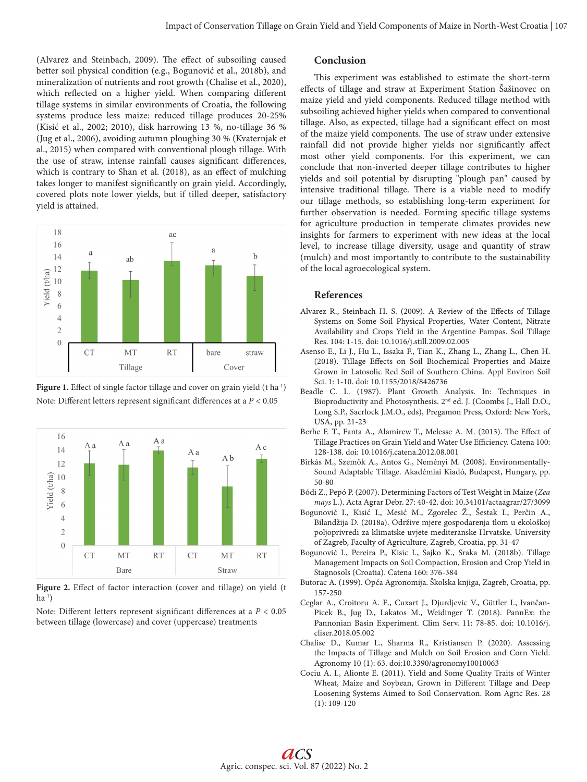(Alvarez and Steinbach, 2009). The effect of subsoiling caused better soil physical condition (e.g., Bogunović et al., 2018b), and mineralization of nutrients and root growth (Chalise et al., 2020), which reflected on a higher yield. When comparing different tillage systems in similar environments of Croatia, the following systems produce less maize: reduced tillage produces 20-25% (Kisić et al., 2002; 2010), disk harrowing 13 %, no-tillage 36 % (Jug et al., 2006), avoiding autumn ploughing 30 % (Kvaternjak et al., 2015) when compared with conventional plough tillage. With the use of straw, intense rainfall causes significant differences, which is contrary to Shan et al. (2018), as an effect of mulching takes longer to manifest significantly on grain yield. Accordingly, covered plots note lower yields, but if tilled deeper, satisfactory yield is attained.







Figure 2. Effect of factor interaction (cover and tillage) on yield (t  $ha^{-1}$ 

Note: Different letters represent significant differences at a *P* < 0.05 between tillage (lowercase) and cover (uppercase) treatments

## **Conclusion**

This experiment was established to estimate the short-term effects of tillage and straw at Experiment Station Šašinovec on maize yield and yield components. Reduced tillage method with subsoiling achieved higher yields when compared to conventional tillage. Also, as expected, tillage had a significant effect on most of the maize yield components. The use of straw under extensive rainfall did not provide higher yields nor significantly affect most other yield components. For this experiment, we can conclude that non-inverted deeper tillage contributes to higher yields and soil potential by disrupting "plough pan" caused by intensive traditional tillage. There is a viable need to modify our tillage methods, so establishing long-term experiment for further observation is needed. Forming specific tillage systems for agriculture production in temperate climates provides new insights for farmers to experiment with new ideas at the local level, to increase tillage diversity, usage and quantity of straw (mulch) and most importantly to contribute to the sustainability of the local agroecological system.

#### **References**

- Alvarez R., Steinbach H. S. (2009). A Review of the Effects of Tillage Systems on Some Soil Physical Properties, Water Content, Nitrate Availability and Crops Yield in the Argentine Pampas. Soil Tillage Res. 104: 1-15. doi: 10.1016/j.still.2009.02.005
- Asenso E., Li J., Hu L., Issaka F., Tian K., Zhang L., Zhang L., Chen H. (2018). Tillage Effects on Soil Biochemical Properties and Maize Grown in Latosolic Red Soil of Southern China. Appl Environ Soil Sci. 1: 1-10. doi: 10.1155/2018/8426736
- Beadle C. L. (1987). Plant Growth Analysis. In: Techniques in Bioproductivity and Photosynthesis. 2nd ed. J. (Coombs J., Hall D.O., Long S.P., Sacrlock J.M.O., eds), Pregamon Press, Oxford: New York, USA, pp. 21-23
- Berhe F. T., Fanta A., Alamirew T., Melesse A. M. (2013). The Effect of Tillage Practices on Grain Yield and Water Use Efficiency. Catena 100: 128-138. doi: 10.1016/j.catena.2012.08.001
- Birkás M., Szemők A., Antos G., Neményi M. (2008). Environmentally-Sound Adaptable Tillage. Akadémiai Kiadó, Budapest, Hungary, pp. 50-80
- Bódi Z., Pepó P. (2007). Determining Factors of Test Weight in Maize (*Zea mays* L.). Acta Agrar Debr. 27: 40-42. doi: 10.34101/actaagrar/27/3099
- Bogunović I., Kisić I., Mesić M., Zgorelec Ž., Šestak I., Perčin A., Bilandžija D. (2018a). Održive mjere gospodarenja tlom u ekološkoj poljoprivredi za klimatske uvjete mediteranske Hrvatske. University of Zagreb, Faculty of Agriculture, Zagreb, Croatia, pp. 31-47
- Bogunović I., Pereira P., Kisic I., Sajko K., Sraka M. (2018b). Tillage Management Impacts on Soil Compaction, Erosion and Crop Yield in Stagnosols (Croatia). Catena 160: 376-384
- Butorac A. (1999). Opća Agronomija. Školska knjiga, Zagreb, Croatia, pp. 157-250
- Ceglar A., Croitoru A. E., Cuxart J., Djurdjevic V., Güttler I., Ivančan-Picek B., Jug D., Lakatos M., Weidinger T. (2018). PannEx: the Pannonian Basin Experiment. Clim Serv. 11: 78-85. doi: 10.1016/j. cliser.2018.05.002
- Chalise D., Kumar L., Sharma R., Kristiansen P. (2020). Assessing the Impacts of Tillage and Mulch on Soil Erosion and Corn Yield. Agronomy 10 (1): 63. doi:10.3390/agronomy10010063
- Cociu A. I., Alionte E. (2011). Yield and Some Quality Traits of Winter Wheat, Maize and Soybean, Grown in Different Tillage and Deep Loosening Systems Aimed to Soil Conservation. Rom Agric Res. 28 (1): 109-120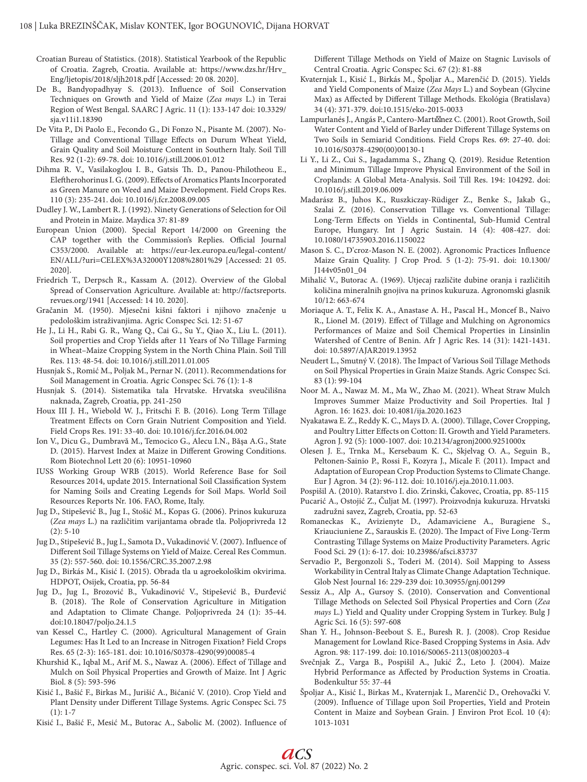Croatian Bureau of Statistics. (2018). Statistical Yearbook of the Republic of Croatia. Zagreb, Croatia. Available at: https://www.dzs.hr/Hrv\_ Eng/ljetopis/2018/sljh2018.pdf [Accessed: 20 08. 2020].

- De B., Bandyopadhyay S. (2013). Influence of Soil Conservation Techniques on Growth and Yield of Maize (*Zea mays* L.) in Terai Region of West Bengal. SAARC J Agric. 11 (1): 133-147 doi: 10.3329/ sja.v11i1.18390
- De Vita P., Di Paolo E., Fecondo G., Di Fonzo N., Pisante M. (2007). No-Tillage and Conventional Tillage Effects on Durum Wheat Yield, Grain Quality and Soil Moisture Content in Southern Italy. Soil Till Res. 92 (1-2): 69-78. doi: 10.1016/j.still.2006.01.012
- Dihma R. V., Vasilakoglou I. B., Gatsis Th. D., Panou-Philotheou E., Eleftherohorinus I. G. (2009). Effects of Aromatics Plants Incorporated as Green Manure on Weed and Maize Development. Field Crops Res. 110 (3): 235-241. doi: 10.1016/j.fcr.2008.09.005
- Dudley J. W., Lambert R. J. (1992). Ninety Generations of Selection for Oil and Protein in Maize. Maydica 37: 81-89
- European Union (2000). Special Report 14/2000 on Greening the CAP together with the Commission's Replies. Official Journal C353/2000. Available at: https://eur-lex.europa.eu/legal-content/ EN/ALL/?uri=CELEX%3A32000Y1208%2801%29 [Accessed: 21 05. 2020].
- Friedrich T., Derpsch R., Kassam A. (2012). Overview of the Global Spread of Conservation Agriculture. Available at: http://factsreports. revues.org/1941 [Accessed: 14 10. 2020].
- Gračanin M. (1950). Mjesečni kišni faktori i njihovo značenje u pedološkim istraživanjima. Agric Conspec Sci. 12: 51-67
- He J., Li H., Rabi G. R., Wang Q., Cai G., Su Y., Qiao X., Liu L. (2011). Soil properties and Crop Yields after 11 Years of No Tillage Farming in Wheat–Maize Cropping System in the North China Plain. Soil Till Res. 113: 48-54. doi: 10.1016/j.still.2011.01.005
- Husnjak S., Romić M., Poljak M., Pernar N. (2011). Recommendations for Soil Management in Croatia. Agric Conspec Sci. 76 (1): 1-8
- Husnjak S. (2014). Sistematika tala Hrvatske. Hrvatska sveučilišna naknada, Zagreb, Croatia, pp. 241-250
- Houx III J. H., Wiebold W. J., Fritschi F. B. (2016). Long Term Tillage Treatment Effects on Corn Grain Nutrient Composition and Yield. Field Crops Res. 191: 33-40. doi: 10.1016/j.fcr.2016.04.002
- Ion V., Dicu G., Dumbravă M., Temocico G., Alecu I.N., Băşa A.G., State D. (2015). Harvest Index at Maize in Different Growing Conditions. Rom Biotechnol Lett 20 (6): 10951-10960
- IUSS Working Group WRB (2015). World Reference Base for Soil Resources 2014, update 2015. International Soil Classification System for Naming Soils and Creating Legends for Soil Maps. World Soil Resources Reports Nr. 106. FAO, Rome, Italy.
- Jug D., Stipešević B., Jug I., Stošić M., Kopas G. (2006). Prinos kukuruza (*Zea mays* L.) na različitim varijantama obrade tla. Poljoprivreda 12 (2): 5-10
- Jug D., Stipešević B., Jug I., Samota D., Vukadinović V. (2007). Influence of Different Soil Tillage Systems on Yield of Maize. Cereal Res Commun. 35 (2): 557-560. doi: 10.1556/CRC.35.2007.2.98
- Jug D., Birkás M., Kisić I. (2015). Obrada tla u agroekološkim okvirima. HDPOT, Osijek, Croatia, pp. 56-84
- Jug D., Jug I., Brozović B., Vukadinović V., Stipešević B., Đurđević B. (2018). The Role of Conservation Agriculture in Mitigation and Adaptation to Climate Change. Poljoprivreda 24 (1): 35-44. doi:10.18047/poljo.24.1.5
- van Kessel C., Hartley C. (2000). Agricultural Management of Grain Legumes: Has It Led to an Increase in Nitrogen Fixation? Field Crops Res. 65 (2-3): 165-181. doi: 10.1016/S0378-4290(99)00085-4
- Khurshid K., Iqbal M., Arif M. S., Nawaz A. (2006). Effect of Tillage and Mulch on Soil Physical Properties and Growth of Maize. Int J Agric Biol. 8 (5): 593-596
- Kisić I., Bašić F., Birkas M., Jurišić A., Bićanić V. (2010). Crop Yield and Plant Density under Different Tillage Systems. Agric Conspec Sci. 75  $(1): 1-7$
- Kisić I., Bašić F., Mesić M., Butorac A., Sabolic M. (2002). Influence of

Different Tillage Methods on Yield of Maize on Stagnic Luvisols of Central Croatia. Agric Conspec Sci. 67 (2): 81-88

- Kvaternjak I., Kisić I., Birkás M., Špoljar A., Marenčić D. (2015). Yields and Yield Components of Maize (*Zea Mays* L.) and Soybean (Glycine Max) as Affected by Different Tillage Methods. Ekológia (Bratislava) 34 (4): 371-379. doi:10.1515/eko-2015-0033
- Lampurlanés J., Angás P., Cantero-Martı nez C. (2001). Root Growth, Soil Water Content and Yield of Barley under Different Tillage Systems on Two Soils in Semiarid Conditions. Field Crops Res. 69: 27-40. doi: 10.1016/S0378-4290(00)00130-1
- Li Y., Li Z., Cui S., Jagadamma S., Zhang Q. (2019). Residue Retention and Minimum Tillage Improve Physical Environment of the Soil in Croplands: A Global Meta-Analysis. Soil Till Res. 194: 104292. doi: 10.1016/j.still.2019.06.009
- Madarász B., Juhos K., Ruszkiczay-Rüdiger Z., Benke S., Jakab G., Szalai Z. (2016). Conservation Tillage vs. Conventional Tillage: Long-Term Effects on Yields in Continental, Sub-Humid Central Europe, Hungary. Int J Agric Sustain. 14 (4): 408-427. doi: 10.1080/14735903.2016.1150022
- Mason S. C., D'croz-Mason N. E. (2002). Agronomic Practices Influence Maize Grain Quality. J Crop Prod. 5 (1-2): 75-91. doi: 10.1300/ J144v05n01\_04
- Mihalić V., Butorac A. (1969). Utjecaj različite dubine oranja i različitih količina mineralnih gnojiva na prinos kukuruza. Agronomski glasnik 10/12: 663-674
- Moriaque A. T., Felix K. A., Anastase A. H., Pascal H., Moncef B., Naivo R., Lionel M. (2019). Effect of Tillage and Mulching on Agronomics Performances of Maize and Soil Chemical Properties in Linsinlin Watershed of Centre of Benin. Afr J Agric Res. 14 (31): 1421-1431. doi: 10.5897/AJAR2019.13952
- Neudert L., Smutný V. (2018). The Impact of Various Soil Tillage Methods on Soil Physical Properties in Grain Maize Stands. Agric Conspec Sci. 83 (1): 99-104
- Noor M. A., Nawaz M. M., Ma W., Zhao M. (2021). Wheat Straw Mulch Improves Summer Maize Productivity and Soil Properties. Ital J Agron. 16: 1623. doi: 10.4081/ija.2020.1623
- Nyakatawa E. Z., Reddy K. C., Mays D. A. (2000). Tillage, Cover Cropping, and Poultry Litter Effects on Cotton: II. Growth and Yield Parameters. Agron J. 92 (5): 1000-1007. doi: 10.2134/agronj2000.9251000x
- Olesen J. E., Trnka M., Kersebaum K. C., Skjelvag O. A., Seguin B., Peltonen-Sainio P., Rossi F., Kozyra J., Micale F. (2011). Impact and Adaptation of European Crop Production Systems to Climate Change. Eur J Agron. 34 (2): 96-112. doi: 10.1016/j.eja.2010.11.003.
- Pospišil A. (2010). Ratarstvo I. dio. Zrinski, Čakovec, Croatia, pp. 85-115
- Pucarić A., Ostojić Z., Čuljat M. (1997). Proizvodnja kukuruza. Hrvatski zadružni savez, Zagreb, Croatia, pp. 52-63
- Romaneckas K., Avizienyte D., Adamaviciene A., Buragiene S., Kriauciuniene Z., Sarauskis E. (2020). The Impact of Five Long-Term Contrasting Tillage Systems on Maize Productivity Parameters. Agric Food Sci. 29 (1): 6-17. doi: 10.23986/afsci.83737
- Servadio P., Bergonzoli S., Toderi M. (2014). Soil Mapping to Assess Workability in Central Italy as Climate Change Adaptation Technique. Glob Nest Journal 16: 229-239 doi: 10.30955/gnj.001299
- Sessiz A., Alp A., Gursoy S. (2010). Conservation and Conventional Tillage Methods on Selected Soil Physical Properties and Corn (*Zea mays* L.) Yield and Quality under Cropping System in Turkey. Bulg J Agric Sci. 16 (5): 597-608
- Shan Y. H., Johnson-Beebout S. E., Buresh R. J. (2008). Crop Residue Management for Lowland Rice-Based Cropping Systems in Asia. Adv Agron. 98: 117-199. doi: 10.1016/S0065-2113(08)00203-4
- Svečnjak Z., Varga B., Pospišil A., Jukić Ž., Leto J. (2004). Maize Hybrid Performance as Affected by Production Systems in Croatia. Bodenkultur 55: 37-44
- Špoljar A., Kisić I., Birkas M., Kvaternjak I., Marenčić D., Orehovački V. (2009). Influence of Tillage upon Soil Properties, Yield and Protein Content in Maize and Soybean Grain. J Environ Prot Ecol. 10 (4): 1013-1031